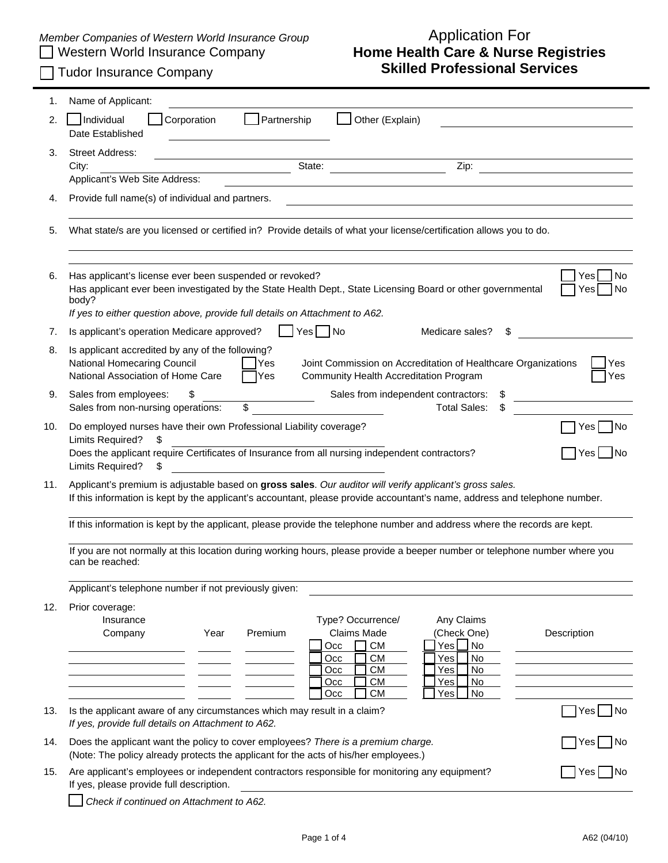## *Member Companies of Western World Insurance Group* <br> **Application Formal Insurance Company**

## Western World Insurance Company **Home Health Care & Nurse Registries** Tudor Insurance Company **Skilled Professional Services**

| 1.  | Name of Applicant:                                                                                                                                                                                                                                                                               |  |  |  |  |  |
|-----|--------------------------------------------------------------------------------------------------------------------------------------------------------------------------------------------------------------------------------------------------------------------------------------------------|--|--|--|--|--|
| 2.  | Partnership<br>Individual<br>Other (Explain)<br>Corporation<br>Date Established                                                                                                                                                                                                                  |  |  |  |  |  |
| 3.  | <b>Street Address:</b><br>State:<br>Zip:<br>City:<br>Applicant's Web Site Address:                                                                                                                                                                                                               |  |  |  |  |  |
| 4.  | Provide full name(s) of individual and partners.                                                                                                                                                                                                                                                 |  |  |  |  |  |
| 5.  | What state/s are you licensed or certified in? Provide details of what your license/certification allows you to do.                                                                                                                                                                              |  |  |  |  |  |
| 6.  | <b>No</b><br>Has applicant's license ever been suspended or revoked?<br>Yes.<br>Has applicant ever been investigated by the State Health Dept., State Licensing Board or other governmental<br>No<br>Yes<br>body?<br>If yes to either question above, provide full details on Attachment to A62. |  |  |  |  |  |
| 7.  | _ Yes   No<br>Is applicant's operation Medicare approved?<br>Medicare sales?                                                                                                                                                                                                                     |  |  |  |  |  |
| 8.  | Is applicant accredited by any of the following?<br>National Homecaring Council<br>Joint Commission on Accreditation of Healthcare Organizations<br><b>Yes</b><br>Yes<br>National Association of Home Care<br>TYes]<br>Community Health Accreditation Program<br>Yes                             |  |  |  |  |  |
| 9.  | Sales from employees:<br>Sales from independent contractors:<br>\$<br>æ.<br>Sales from non-nursing operations:<br>\$<br><b>Total Sales:</b><br>\$                                                                                                                                                |  |  |  |  |  |
| 10. | Do employed nurses have their own Professional Liability coverage?<br>No.<br>Yesl<br>Limits Required?<br>\$.<br>Does the applicant require Certificates of Insurance from all nursing independent contractors?<br>Yes<br><b>No</b><br>Limits Required?<br>\$                                     |  |  |  |  |  |
| 11. | Applicant's premium is adjustable based on gross sales. Our auditor will verify applicant's gross sales.<br>If this information is kept by the applicant's accountant, please provide accountant's name, address and telephone number.                                                           |  |  |  |  |  |
|     | If this information is kept by the applicant, please provide the telephone number and address where the records are kept.                                                                                                                                                                        |  |  |  |  |  |
|     | If you are not normally at this location during working hours, please provide a beeper number or telephone number where you<br>can be reached:                                                                                                                                                   |  |  |  |  |  |
|     | Applicant's telephone number if not previously given:                                                                                                                                                                                                                                            |  |  |  |  |  |
| 12. | Prior coverage:<br>Type? Occurrence/<br>Insurance<br>Any Claims<br><b>Claims Made</b><br>(Check One)<br>Premium<br>Company<br>Year<br>Description<br><b>CM</b><br><b>No</b><br>Occ<br>Yes L<br><b>CM</b><br>No<br>Occ<br>Yes<br><b>CM</b><br>No<br>Occ<br>Yes<br><b>CM</b><br>No<br>Occ<br>Yes   |  |  |  |  |  |
| 13. | СM<br>No<br>Occ<br>Yes<br>Is the applicant aware of any circumstances which may result in a claim?<br>Yes No                                                                                                                                                                                     |  |  |  |  |  |
|     | If yes, provide full details on Attachment to A62.                                                                                                                                                                                                                                               |  |  |  |  |  |
| 14. | Does the applicant want the policy to cover employees? There is a premium charge.<br> No<br>Yesl<br>(Note: The policy already protects the applicant for the acts of his/her employees.)                                                                                                         |  |  |  |  |  |
| 15. | Are applicant's employees or independent contractors responsible for monitoring any equipment?<br>Yesl<br>- I No<br>If yes, please provide full description.                                                                                                                                     |  |  |  |  |  |
|     | Check if continued on Attachment to A62.                                                                                                                                                                                                                                                         |  |  |  |  |  |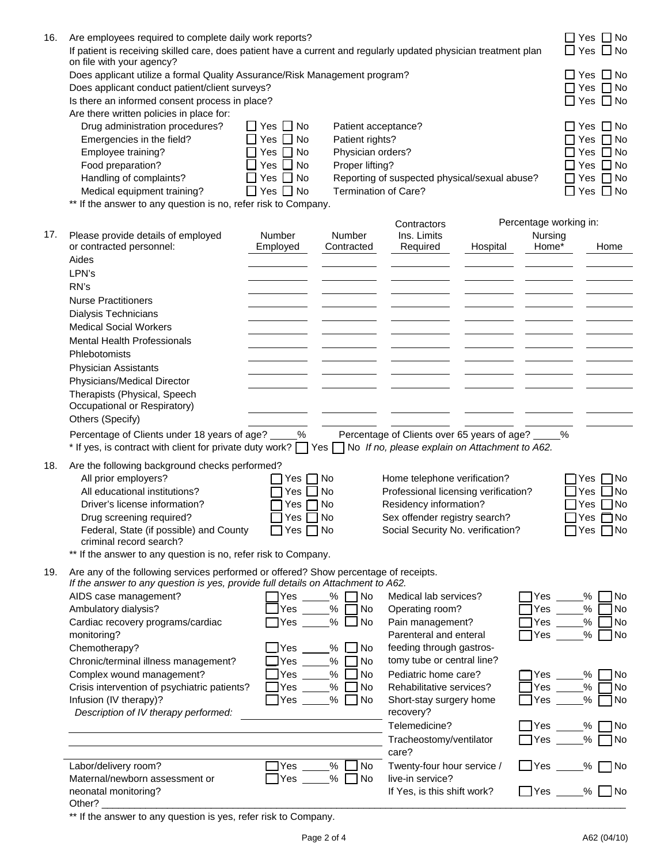| 16. | Are employees required to complete daily work reports?<br>If patient is receiving skilled care, does patient have a current and regularly updated physician treatment plan<br>on file with your agency?                                                                                                      |                                                                                                                  |                                                                                                                                                         |                                                                                                                                                                      |          |                                            | $\Box$ Yes $\Box$ No<br>$\Box$ Yes $\Box$ No<br>$\square$ Yes $\square$ No                                                                                 |
|-----|--------------------------------------------------------------------------------------------------------------------------------------------------------------------------------------------------------------------------------------------------------------------------------------------------------------|------------------------------------------------------------------------------------------------------------------|---------------------------------------------------------------------------------------------------------------------------------------------------------|----------------------------------------------------------------------------------------------------------------------------------------------------------------------|----------|--------------------------------------------|------------------------------------------------------------------------------------------------------------------------------------------------------------|
|     | Does applicant conduct patient/client surveys?<br>Is there an informed consent process in place?                                                                                                                                                                                                             | Does applicant utilize a formal Quality Assurance/Risk Management program?                                       |                                                                                                                                                         |                                                                                                                                                                      |          |                                            |                                                                                                                                                            |
|     | Are there written policies in place for:<br>Drug administration procedures?<br>Emergencies in the field?<br>Employee training?<br>Food preparation?<br>Handling of complaints?<br>Medical equipment training?                                                                                                | $\Box$ Yes $\Box$ No<br>Yes $\Box$ No<br>Yes $\Box$ No<br>Yes $\Box$ No<br>Yes $\Box$ No<br>$\Box$ Yes $\Box$ No | Patient acceptance?<br>Patient rights?<br>Physician orders?<br>Proper lifting?<br>Reporting of suspected physical/sexual abuse?<br>Termination of Care? |                                                                                                                                                                      |          |                                            | $\square$ Yes $\square$ No<br>$\Box$ Yes $\,\Box$ No<br>$\Box$ Yes $\Box$ No<br>$\square$ Yes $\square$ No<br>$\Box$ Yes $\Box$ No<br>$\Box$ Yes $\Box$ No |
|     | ** If the answer to any question is no, refer risk to Company.                                                                                                                                                                                                                                               |                                                                                                                  |                                                                                                                                                         |                                                                                                                                                                      |          |                                            |                                                                                                                                                            |
| 17. | Please provide details of employed<br>or contracted personnel:<br>Aides<br>LPN's                                                                                                                                                                                                                             | Number<br>Employed                                                                                               | Number<br>Contracted                                                                                                                                    | Contractors<br>Ins. Limits<br>Required                                                                                                                               | Hospital | Percentage working in:<br>Nursing<br>Home* | Home                                                                                                                                                       |
|     | RN's<br><b>Nurse Practitioners</b><br><b>Dialysis Technicians</b><br><b>Medical Social Workers</b><br><b>Mental Health Professionals</b><br>Phlebotomists<br><b>Physician Assistants</b>                                                                                                                     |                                                                                                                  |                                                                                                                                                         |                                                                                                                                                                      |          |                                            |                                                                                                                                                            |
|     | Physicians/Medical Director<br>Therapists (Physical, Speech<br>Occupational or Respiratory)<br>Others (Specify)                                                                                                                                                                                              |                                                                                                                  |                                                                                                                                                         |                                                                                                                                                                      |          |                                            |                                                                                                                                                            |
|     | Percentage of Clients under 18 years of age?<br>* If yes, is contract with client for private duty work? T Yes T No If no, please explain on Attachment to A62.                                                                                                                                              | $\%$                                                                                                             |                                                                                                                                                         | Percentage of Clients over 65 years of age? _                                                                                                                        |          | %                                          |                                                                                                                                                            |
| 18. | Are the following background checks performed?<br>All prior employers?<br>All educational institutions?<br>Driver's license information?<br>Drug screening required?<br>Federal, State (if possible) and County<br>criminal record search?<br>** If the answer to any question is no, refer risk to Company. | Yes<br>Yes<br>Yes<br>$Yes \Box No$<br>∩Yes ∏ No                                                                  | No<br>No<br>l No                                                                                                                                        | Home telephone verification?<br>Professional licensing verification?<br>Residency information?<br>Sex offender registry search?<br>Social Security No. verification? |          |                                            | 1No<br>Yes<br>No l<br>Yes<br>Yes $\Box$ No<br>Yes $\Box$ No<br>Yes $\n  No\n$                                                                              |
| 19. | Are any of the following services performed or offered? Show percentage of receipts.<br>If the answer to any question is yes, provide full details on Attachment to A62.<br>AIDS case management?<br>Ambulatory dialysis?<br>Cardiac recovery programs/cardiac<br>monitoring?                                | $\sqcap$ Yes<br>Yes<br>$\gamma$ Yes                                                                              | %<br>$\neg$ No<br>%<br>7 No<br>% $\Box$ No                                                                                                              | Medical lab services?<br>Operating room?<br>Pain management?<br>Parenteral and enteral                                                                               |          | Yes<br>Yes<br><b>Yes</b><br>$\Box$ Yes     | No<br>%<br>%<br>No<br>%<br>No<br>$\%$<br>No                                                                                                                |
|     | Chemotherapy?<br>Chronic/terminal illness management?<br>Complex wound management?<br>Crisis intervention of psychiatric patients?<br>Infusion (IV therapy)?<br>Description of IV therapy performed:                                                                                                         | $\mathsf{\mathsf{I}Yes}$<br>Yes l<br>Yes<br> Yes<br>$\exists$ Yes                                                | %<br>$\Box$ No<br>%<br>$\overline{\phantom{a}}$ No<br>%<br>l No<br>$%$ No<br>$%$ $\Box$ No                                                              | feeding through gastros-<br>tomy tube or central line?<br>Pediatric home care?<br>Rehabilitative services?<br>Short-stay surgery home<br>recovery?                   |          | Yes<br>Yes<br>Yes                          | %<br>N <sub>o</sub><br>$\%$<br>No<br>%<br>No                                                                                                               |
|     |                                                                                                                                                                                                                                                                                                              |                                                                                                                  |                                                                                                                                                         | Telemedicine?<br>Tracheostomy/ventilator<br>care?                                                                                                                    |          | $\exists$ Yes<br>Yes                       | No<br>%<br>%<br>7 No                                                                                                                                       |
|     | Labor/delivery room?<br>Maternal/newborn assessment or<br>neonatal monitoring?<br>Other?                                                                                                                                                                                                                     | ]Yes<br>Yes                                                                                                      | $\%$<br>No.<br>$%$ No                                                                                                                                   | Twenty-four hour service /<br>live-in service?<br>If Yes, is this shift work?                                                                                        |          | $\Box$ Yes<br>$\Box$ Yes $\_\_$            | $\%$<br>$\blacksquare$ No<br><b>No</b><br>%                                                                                                                |

\*\* If the answer to any question is yes, refer risk to Company.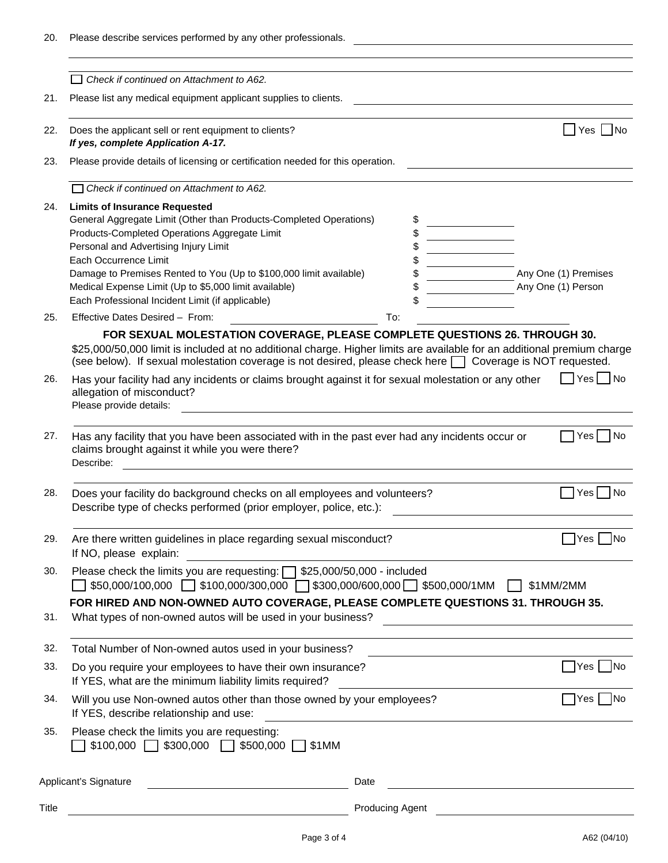| Please describe services performed by any other professionals.                                                                                                                                                                                                                                                                                               |                                                                                                                                                                                                                                                           |                                                                                                                                                                                                                                   |                                                                               |                                                                                                                                                                              |                                                                        |                                                                                                                                                                                                                                                                                                                                                                                                                                                                                                                                                                                                                         |
|--------------------------------------------------------------------------------------------------------------------------------------------------------------------------------------------------------------------------------------------------------------------------------------------------------------------------------------------------------------|-----------------------------------------------------------------------------------------------------------------------------------------------------------------------------------------------------------------------------------------------------------|-----------------------------------------------------------------------------------------------------------------------------------------------------------------------------------------------------------------------------------|-------------------------------------------------------------------------------|------------------------------------------------------------------------------------------------------------------------------------------------------------------------------|------------------------------------------------------------------------|-------------------------------------------------------------------------------------------------------------------------------------------------------------------------------------------------------------------------------------------------------------------------------------------------------------------------------------------------------------------------------------------------------------------------------------------------------------------------------------------------------------------------------------------------------------------------------------------------------------------------|
|                                                                                                                                                                                                                                                                                                                                                              |                                                                                                                                                                                                                                                           |                                                                                                                                                                                                                                   |                                                                               |                                                                                                                                                                              |                                                                        |                                                                                                                                                                                                                                                                                                                                                                                                                                                                                                                                                                                                                         |
| Please list any medical equipment applicant supplies to clients.                                                                                                                                                                                                                                                                                             |                                                                                                                                                                                                                                                           |                                                                                                                                                                                                                                   |                                                                               |                                                                                                                                                                              |                                                                        |                                                                                                                                                                                                                                                                                                                                                                                                                                                                                                                                                                                                                         |
| Does the applicant sell or rent equipment to clients?                                                                                                                                                                                                                                                                                                        |                                                                                                                                                                                                                                                           |                                                                                                                                                                                                                                   |                                                                               |                                                                                                                                                                              |                                                                        | Yes   No                                                                                                                                                                                                                                                                                                                                                                                                                                                                                                                                                                                                                |
|                                                                                                                                                                                                                                                                                                                                                              |                                                                                                                                                                                                                                                           |                                                                                                                                                                                                                                   |                                                                               |                                                                                                                                                                              |                                                                        |                                                                                                                                                                                                                                                                                                                                                                                                                                                                                                                                                                                                                         |
| Check if continued on Attachment to A62.                                                                                                                                                                                                                                                                                                                     |                                                                                                                                                                                                                                                           |                                                                                                                                                                                                                                   |                                                                               |                                                                                                                                                                              |                                                                        |                                                                                                                                                                                                                                                                                                                                                                                                                                                                                                                                                                                                                         |
| <b>Limits of Insurance Requested</b><br>General Aggregate Limit (Other than Products-Completed Operations)<br>Products-Completed Operations Aggregate Limit<br>Personal and Advertising Injury Limit<br>Each Occurrence Limit<br>Damage to Premises Rented to You (Up to \$100,000 limit available)<br>Medical Expense Limit (Up to \$5,000 limit available) |                                                                                                                                                                                                                                                           |                                                                                                                                                                                                                                   |                                                                               |                                                                                                                                                                              |                                                                        | Any One (1) Premises<br>Any One (1) Person                                                                                                                                                                                                                                                                                                                                                                                                                                                                                                                                                                              |
|                                                                                                                                                                                                                                                                                                                                                              |                                                                                                                                                                                                                                                           |                                                                                                                                                                                                                                   |                                                                               |                                                                                                                                                                              |                                                                        |                                                                                                                                                                                                                                                                                                                                                                                                                                                                                                                                                                                                                         |
|                                                                                                                                                                                                                                                                                                                                                              |                                                                                                                                                                                                                                                           |                                                                                                                                                                                                                                   |                                                                               |                                                                                                                                                                              |                                                                        | Yes   No                                                                                                                                                                                                                                                                                                                                                                                                                                                                                                                                                                                                                |
| allegation of misconduct?<br>Please provide details:                                                                                                                                                                                                                                                                                                         |                                                                                                                                                                                                                                                           |                                                                                                                                                                                                                                   |                                                                               |                                                                                                                                                                              |                                                                        |                                                                                                                                                                                                                                                                                                                                                                                                                                                                                                                                                                                                                         |
| claims brought against it while you were there?<br>Describe:                                                                                                                                                                                                                                                                                                 |                                                                                                                                                                                                                                                           |                                                                                                                                                                                                                                   |                                                                               |                                                                                                                                                                              |                                                                        | Yes<br>No.                                                                                                                                                                                                                                                                                                                                                                                                                                                                                                                                                                                                              |
|                                                                                                                                                                                                                                                                                                                                                              |                                                                                                                                                                                                                                                           |                                                                                                                                                                                                                                   |                                                                               |                                                                                                                                                                              |                                                                        | l No<br>Yes                                                                                                                                                                                                                                                                                                                                                                                                                                                                                                                                                                                                             |
| If NO, please explain:                                                                                                                                                                                                                                                                                                                                       |                                                                                                                                                                                                                                                           |                                                                                                                                                                                                                                   |                                                                               |                                                                                                                                                                              |                                                                        | Yes<br>INo                                                                                                                                                                                                                                                                                                                                                                                                                                                                                                                                                                                                              |
|                                                                                                                                                                                                                                                                                                                                                              |                                                                                                                                                                                                                                                           |                                                                                                                                                                                                                                   |                                                                               |                                                                                                                                                                              |                                                                        | \$1MM/2MM                                                                                                                                                                                                                                                                                                                                                                                                                                                                                                                                                                                                               |
| What types of non-owned autos will be used in your business?                                                                                                                                                                                                                                                                                                 |                                                                                                                                                                                                                                                           |                                                                                                                                                                                                                                   |                                                                               |                                                                                                                                                                              |                                                                        |                                                                                                                                                                                                                                                                                                                                                                                                                                                                                                                                                                                                                         |
| Total Number of Non-owned autos used in your business?                                                                                                                                                                                                                                                                                                       |                                                                                                                                                                                                                                                           |                                                                                                                                                                                                                                   |                                                                               |                                                                                                                                                                              |                                                                        |                                                                                                                                                                                                                                                                                                                                                                                                                                                                                                                                                                                                                         |
| Do you require your employees to have their own insurance?                                                                                                                                                                                                                                                                                                   |                                                                                                                                                                                                                                                           |                                                                                                                                                                                                                                   |                                                                               |                                                                                                                                                                              |                                                                        | ่  Yes  <br>No.                                                                                                                                                                                                                                                                                                                                                                                                                                                                                                                                                                                                         |
| If YES, describe relationship and use:                                                                                                                                                                                                                                                                                                                       |                                                                                                                                                                                                                                                           |                                                                                                                                                                                                                                   |                                                                               |                                                                                                                                                                              |                                                                        | Yes   No                                                                                                                                                                                                                                                                                                                                                                                                                                                                                                                                                                                                                |
| Please check the limits you are requesting:<br>\$500,000<br>\$100,000<br>$$300,000$ $\Box$<br>\$1MM                                                                                                                                                                                                                                                          |                                                                                                                                                                                                                                                           |                                                                                                                                                                                                                                   |                                                                               |                                                                                                                                                                              |                                                                        |                                                                                                                                                                                                                                                                                                                                                                                                                                                                                                                                                                                                                         |
| Date                                                                                                                                                                                                                                                                                                                                                         |                                                                                                                                                                                                                                                           |                                                                                                                                                                                                                                   |                                                                               |                                                                                                                                                                              |                                                                        |                                                                                                                                                                                                                                                                                                                                                                                                                                                                                                                                                                                                                         |
|                                                                                                                                                                                                                                                                                                                                                              |                                                                                                                                                                                                                                                           |                                                                                                                                                                                                                                   |                                                                               |                                                                                                                                                                              |                                                                        |                                                                                                                                                                                                                                                                                                                                                                                                                                                                                                                                                                                                                         |
|                                                                                                                                                                                                                                                                                                                                                              | Check if continued on Attachment to A62.<br>If yes, complete Application A-17.<br>Each Professional Incident Limit (if applicable)<br>Effective Dates Desired - From:<br>If YES, what are the minimum liability limits required?<br>Applicant's Signature | Please provide details of licensing or certification needed for this operation.<br>To:<br>Describe type of checks performed (prior employer, police, etc.):<br>Are there written guidelines in place regarding sexual misconduct? | Please check the limits you are requesting: $\Box$ \$25,000/50,000 - included | Does your facility do background checks on all employees and volunteers?<br>Will you use Non-owned autos other than those owned by your employees?<br><b>Producing Agent</b> | \$50,000/100,000   \$100,000/300,000   \$300,000/600,000 \$500,000/1MM | FOR SEXUAL MOLESTATION COVERAGE, PLEASE COMPLETE QUESTIONS 26. THROUGH 30.<br>\$25,000/50,000 limit is included at no additional charge. Higher limits are available for an additional premium charge<br>(see below). If sexual molestation coverage is not desired, please check here $\Box$ Coverage is NOT requested.<br>Has your facility had any incidents or claims brought against it for sexual molestation or any other<br>Has any facility that you have been associated with in the past ever had any incidents occur or<br>FOR HIRED AND NON-OWNED AUTO COVERAGE, PLEASE COMPLETE QUESTIONS 31. THROUGH 35. |